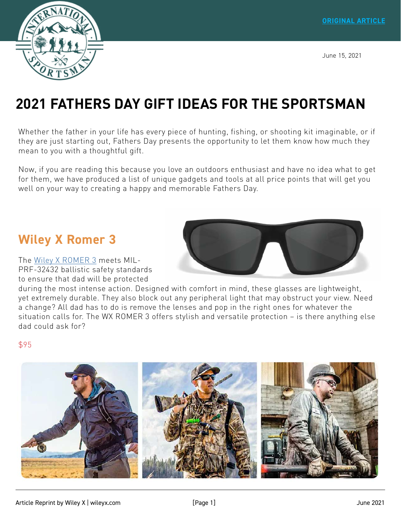June 15, 2021



# **[2021 FATHERS DAY GIFT IDEAS FOR THE SPORTSMAN](https://www.internationalsportsman.com/2021-fathers-day-gift-ideas-for-the-sportsman/)**

Whether the father in your life has every piece of hunting, fishing, or shooting kit imaginable, or if they are just starting out, Fathers Day presents the opportunity to let them know how much they mean to you with a thoughtful gift.

Now, if you are reading this because you love an outdoors enthusiast and have no idea what to get for them, we have produced a list of unique gadgets and tools at all price points that will get you well on your way to creating a happy and memorable Fathers Day.

## **Wiley X Romer 3**

The [Wiley X ROMER 3](https://www.wileyx.com/romer-3?avad=237689_c2433c2e9) meets MIL-PRF-32432 ballistic safety standards to ensure that dad will be protected



during the most intense action. Designed with comfort in mind, these glasses are lightweight, yet extremely durable. They also block out any peripheral light that may obstruct your view. Need a change? All dad has to do is remove the lenses and pop in the right ones for whatever the situation calls for. The WX ROMER 3 offers stylish and versatile protection – is there anything else dad could ask for?

#### \$95